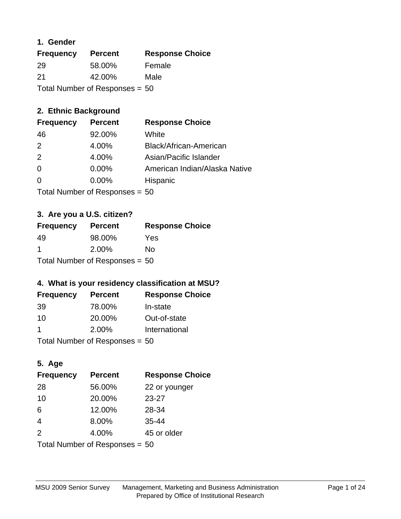#### **1. Gender**

| <b>Frequency</b>               | <b>Percent</b> | <b>Response Choice</b> |
|--------------------------------|----------------|------------------------|
| 29                             | 58.00%         | Female                 |
| 21                             | 42.00%         | Male                   |
| Total Number of Responses = 50 |                |                        |

## **2. Ethnic Background**

| <b>Frequency</b> | <b>Percent</b> | <b>Response Choice</b>        |
|------------------|----------------|-------------------------------|
| 46               | 92.00%         | White                         |
| $\mathcal{P}$    | 4.00%          | Black/African-American        |
| 2                | 4.00%          | Asian/Pacific Islander        |
| 0                | 0.00%          | American Indian/Alaska Native |
| $\Omega$         | 0.00%          | Hispanic                      |
|                  |                |                               |

Total Number of Responses = 50

#### **3. Are you a U.S. citizen?**

| <b>Frequency</b>                 | <b>Percent</b> | <b>Response Choice</b> |
|----------------------------------|----------------|------------------------|
| -49                              | 98.00%         | Yes                    |
| -1                               | 2.00%          | Nο                     |
| Total Number of Responses = $50$ |                |                        |

## **4. What is your residency classification at MSU?**

| <b>Frequency</b> | <b>Percent</b>            | <b>Response Choice</b> |
|------------------|---------------------------|------------------------|
| -39              | 78.00%                    | In-state               |
| 10               | 20.00%                    | Out-of-state           |
|                  | 2.00%                     | International          |
|                  | Tatal Manulau af Dannanas |                        |

Total Number of Responses = 50

## **5. Age**

| <b>Frequency</b>               | <b>Percent</b> | <b>Response Choice</b> |
|--------------------------------|----------------|------------------------|
| 28                             | 56.00%         | 22 or younger          |
| 10                             | 20.00%         | $23 - 27$              |
| 6                              | 12.00%         | 28-34                  |
| $\overline{4}$                 | 8.00%          | $35 - 44$              |
| 2                              | 4.00%          | 45 or older            |
| Total Number of Responses = 50 |                |                        |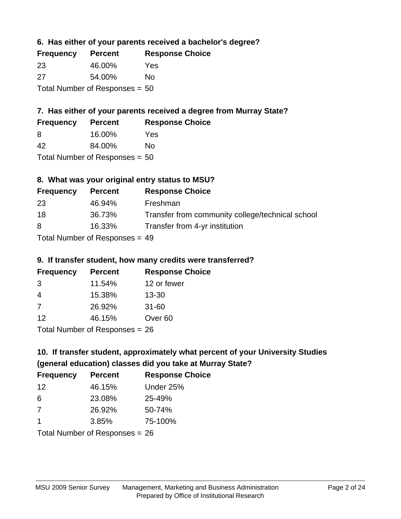## **6. Has either of your parents received a bachelor's degree?**

| <b>Frequency</b>                 | <b>Percent</b> | <b>Response Choice</b> |
|----------------------------------|----------------|------------------------|
| 23                               | 46.00%         | Yes                    |
| 27                               | 54.00%         | Nο                     |
| Total Number of Responses = $50$ |                |                        |

## **7. Has either of your parents received a degree from Murray State?**

| <b>Frequency</b> | <b>Percent</b> | <b>Response Choice</b> |
|------------------|----------------|------------------------|
| -8               | 16.00%         | Yes                    |
| 42               | 84.00%         | No                     |

Total Number of Responses = 50

## **8. What was your original entry status to MSU?**

| <b>Frequency</b> | <b>Percent</b>               | <b>Response Choice</b>                           |
|------------------|------------------------------|--------------------------------------------------|
| 23               | 46.94%                       | Freshman                                         |
| 18               | 36.73%                       | Transfer from community college/technical school |
| 8                | 16.33%                       | Transfer from 4-yr institution                   |
|                  | Total Number of Deepensee 40 |                                                  |

Total Number of Responses = 49

#### **9. If transfer student, how many credits were transferred?**

| <b>Frequency</b>                  | <b>Percent</b> | <b>Response Choice</b> |
|-----------------------------------|----------------|------------------------|
| -3                                | 11.54%         | 12 or fewer            |
| -4                                | 15.38%         | $13 - 30$              |
| -7                                | 26.92%         | $31 - 60$              |
| 12                                | 46.15%         | Over <sub>60</sub>     |
| $Total Number of DoEROR 202 - 26$ |                |                        |

Total Number of Responses = 26

# **10. If transfer student, approximately what percent of your University Studies (general education) classes did you take at Murray State?**

| <b>Frequency</b>               | <b>Percent</b> | <b>Response Choice</b> |
|--------------------------------|----------------|------------------------|
| -12                            | 46.15%         | Under 25%              |
| 6                              | 23.08%         | 25-49%                 |
| -7                             | 26.92%         | 50-74%                 |
| 1                              | 3.85%          | 75-100%                |
| Total Number of Responses = 26 |                |                        |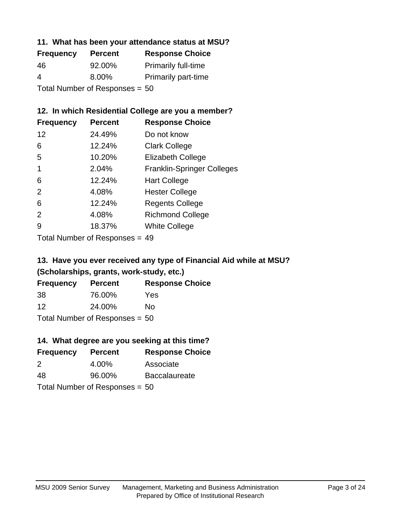#### **11. What has been your attendance status at MSU?**

| <b>Frequency</b>               | <b>Percent</b> | <b>Response Choice</b>     |
|--------------------------------|----------------|----------------------------|
| 46                             | 92.00%         | <b>Primarily full-time</b> |
| 4                              | 8.00%          | <b>Primarily part-time</b> |
| Total Number of Responses = 50 |                |                            |

#### **12. In which Residential College are you a member?**

| <b>Frequency</b> | <b>Percent</b> | <b>Response Choice</b>            |
|------------------|----------------|-----------------------------------|
| 12               | 24.49%         | Do not know                       |
| 6                | 12.24%         | <b>Clark College</b>              |
| 5                | 10.20%         | <b>Elizabeth College</b>          |
| 1                | 2.04%          | <b>Franklin-Springer Colleges</b> |
| 6                | 12.24%         | <b>Hart College</b>               |
| 2                | 4.08%          | <b>Hester College</b>             |
| 6                | 12.24%         | <b>Regents College</b>            |
| 2                | 4.08%          | <b>Richmond College</b>           |
| 9                | 18.37%         | <b>White College</b>              |

Total Number of Responses = 49

## **13. Have you ever received any type of Financial Aid while at MSU? (Scholarships, grants, work-study, etc.)**

| <b>Frequency</b>                 | <b>Percent</b> | <b>Response Choice</b> |
|----------------------------------|----------------|------------------------|
| 38                               | 76.00%         | Yes                    |
| 12                               | 24.00%         | Nο                     |
| Total Number of Responses = $50$ |                |                        |

#### **14. What degree are you seeking at this time?**

| <b>Frequency</b> | <b>Percent</b>                   | <b>Response Choice</b> |
|------------------|----------------------------------|------------------------|
| $\mathcal{P}$    | 4.00%                            | Associate              |
| 48               | 96.00%                           | <b>Baccalaureate</b>   |
|                  | Total Number of Responses = $50$ |                        |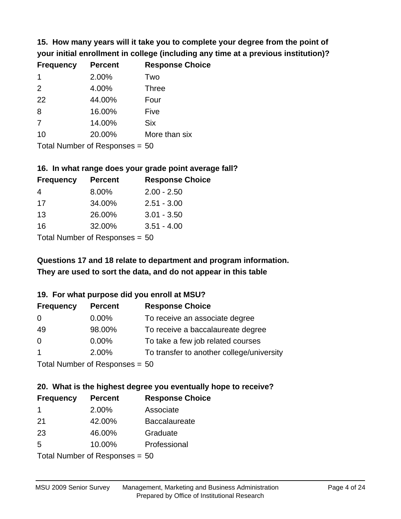**15. How many years will it take you to complete your degree from the point of your initial enrollment in college (including any time at a previous institution)?**

| <b>Frequency</b> | <b>Percent</b> | <b>Response Choice</b> |
|------------------|----------------|------------------------|
| 1                | 2.00%          | Two                    |
| 2                | 4.00%          | <b>Three</b>           |
| 22               | 44.00%         | Four                   |
| 8                | 16.00%         | Five                   |
| 7                | 14.00%         | <b>Six</b>             |
| 10               | 20.00%         | More than six          |
|                  |                |                        |

Total Number of Responses = 50

#### **16. In what range does your grade point average fall?**

| <b>Frequency</b> | <b>Percent</b>              | <b>Response Choice</b> |
|------------------|-----------------------------|------------------------|
| 4                | 8.00%                       | $2.00 - 2.50$          |
| 17               | 34.00%                      | $2.51 - 3.00$          |
| 13               | 26.00%                      | $3.01 - 3.50$          |
| 16               | 32.00%                      | $3.51 - 4.00$          |
|                  | Tatal Massakan af Dagmannar |                        |

Total Number of Responses = 50

## **They are used to sort the data, and do not appear in this table Questions 17 and 18 relate to department and program information.**

#### **19. For what purpose did you enroll at MSU?**

| <b>Frequency</b> | <b>Percent</b>                   | <b>Response Choice</b>                    |
|------------------|----------------------------------|-------------------------------------------|
| 0                | $0.00\%$                         | To receive an associate degree            |
| 49               | 98.00%                           | To receive a baccalaureate degree         |
| $\overline{0}$   | $0.00\%$                         | To take a few job related courses         |
| $\overline{1}$   | 2.00%                            | To transfer to another college/university |
|                  | Total Number of Responses = $50$ |                                           |

# **20. What is the highest degree you eventually hope to receive?**

| <b>Frequency</b>               | <b>Percent</b> | <b>Response Choice</b> |
|--------------------------------|----------------|------------------------|
| $\mathbf 1$                    | 2.00%          | Associate              |
| 21                             | 42.00%         | <b>Baccalaureate</b>   |
| 23                             | 46.00%         | Graduate               |
| 5                              | 10.00%         | Professional           |
| Total Number of Responses = 50 |                |                        |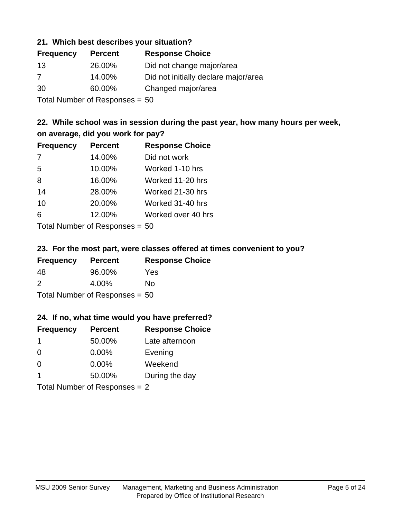#### **21. Which best describes your situation?**

| <b>Frequency</b> | <b>Percent</b>              | <b>Response Choice</b>               |
|------------------|-----------------------------|--------------------------------------|
| -13              | 26.00%                      | Did not change major/area            |
| 7                | 14.00%                      | Did not initially declare major/area |
| 30               | 60.00%                      | Changed major/area                   |
|                  | Tatal Massakan af Dagmannar |                                      |

Total Number of Responses = 50

## **22. While school was in session during the past year, how many hours per week, on average, did you work for pay?**

| <b>Frequency</b> | <b>Percent</b> | <b>Response Choice</b> |
|------------------|----------------|------------------------|
| 7                | 14.00%         | Did not work           |
| 5                | 10.00%         | Worked 1-10 hrs        |
| 8                | 16.00%         | Worked 11-20 hrs       |
| 14               | 28.00%         | Worked 21-30 hrs       |
| 10               | 20.00%         | Worked 31-40 hrs       |
| 6                | 12.00%         | Worked over 40 hrs     |
|                  |                |                        |

Total Number of Responses = 50

#### **23. For the most part, were classes offered at times convenient to you?**

| <b>Frequency</b>                 | <b>Percent</b> | <b>Response Choice</b> |
|----------------------------------|----------------|------------------------|
| 48                               | 96.00%         | Yes                    |
| $\mathcal{P}$                    | 4.00%          | Nο                     |
| Total Number of Responses = $50$ |                |                        |

#### **24. If no, what time would you have preferred?**

| <b>Frequency</b> | <b>Percent</b>                  | <b>Response Choice</b> |
|------------------|---------------------------------|------------------------|
| -1               | 50.00%                          | Late afternoon         |
| $\Omega$         | 0.00%                           | Evening                |
| $\Omega$         | $0.00\%$                        | Weekend                |
| -1               | 50.00%                          | During the day         |
|                  | Total Number of Responses $= 2$ |                        |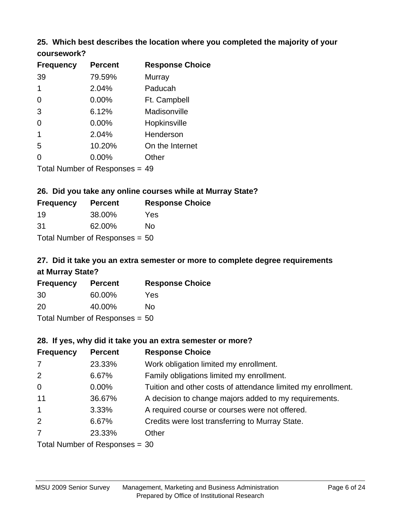# **25. Which best describes the location where you completed the majority of your**

| coursework? |  |
|-------------|--|
|-------------|--|

| <b>Frequency</b> | <b>Percent</b>                   | <b>Response Choice</b> |
|------------------|----------------------------------|------------------------|
| 39               | 79.59%                           | Murray                 |
| 1                | 2.04%                            | Paducah                |
| 0                | $0.00\%$                         | Ft. Campbell           |
| 3                | 6.12%                            | Madisonville           |
| 0                | 0.00%                            | Hopkinsville           |
| 1                | 2.04%                            | Henderson              |
| 5                | 10.20%                           | On the Internet        |
| 0                | 0.00%                            | Other                  |
|                  | Total Number of Responses $= 49$ |                        |

#### **26. Did you take any online courses while at Murray State?**

| <b>Frequency</b> | <b>Percent</b>                   | <b>Response Choice</b> |
|------------------|----------------------------------|------------------------|
| 19               | 38.00%                           | Yes                    |
| .31              | 62.00%                           | Nο                     |
|                  | Total Number of Responses = $50$ |                        |

## **27. Did it take you an extra semester or more to complete degree requirements at Murray State?**

| <b>Frequency</b> | <b>Percent</b>                   | <b>Response Choice</b> |
|------------------|----------------------------------|------------------------|
| 30               | 60.00%                           | Yes                    |
| 20               | 40.00%                           | No                     |
|                  | Total Number of Responses = $50$ |                        |

#### **28. If yes, why did it take you an extra semester or more?**

| <b>Frequency</b>                | <b>Percent</b> | <b>Response Choice</b>                                       |  |
|---------------------------------|----------------|--------------------------------------------------------------|--|
| $\overline{7}$                  | 23.33%         | Work obligation limited my enrollment.                       |  |
| 2                               | 6.67%          | Family obligations limited my enrollment.                    |  |
| $\overline{0}$                  | $0.00\%$       | Tuition and other costs of attendance limited my enrollment. |  |
| 11                              | 36.67%         | A decision to change majors added to my requirements.        |  |
| $\overline{1}$                  | 3.33%          | A required course or courses were not offered.               |  |
| 2                               | 6.67%          | Credits were lost transferring to Murray State.              |  |
| $\overline{7}$                  | 23.33%         | Other                                                        |  |
| Total Number of Responses $-30$ |                |                                                              |  |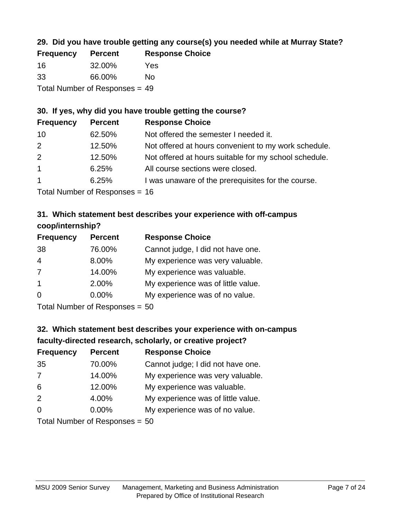## **29. Did you have trouble getting any course(s) you needed while at Murray State?**

| <b>Frequency</b>                 | <b>Percent</b> | <b>Response Choice</b> |  |
|----------------------------------|----------------|------------------------|--|
| -16                              | 32.00%         | Yes                    |  |
| -33                              | 66.00%         | Nο                     |  |
| Total Number of Responses $= 49$ |                |                        |  |

#### **30. If yes, why did you have trouble getting the course?**

| <b>Frequency</b> | <b>Percent</b> | <b>Response Choice</b>                                |
|------------------|----------------|-------------------------------------------------------|
| 10               | 62.50%         | Not offered the semester I needed it.                 |
| 2                | 12.50%         | Not offered at hours convenient to my work schedule.  |
| 2                | 12.50%         | Not offered at hours suitable for my school schedule. |
| $\overline{1}$   | 6.25%          | All course sections were closed.                      |
| $\mathbf{1}$     | 6.25%          | I was unaware of the prerequisites for the course.    |
|                  |                |                                                       |

Total Number of Responses = 16

#### **31. Which statement best describes your experience with off-campus coop/internship?**

| <b>Frequency</b> | <b>Percent</b> | <b>Response Choice</b>             |
|------------------|----------------|------------------------------------|
| 38               | 76.00%         | Cannot judge, I did not have one.  |
| $\overline{4}$   | 8.00%          | My experience was very valuable.   |
| 7                | 14.00%         | My experience was valuable.        |
| $\mathbf{1}$     | 2.00%          | My experience was of little value. |
| $\Omega$         | 0.00%          | My experience was of no value.     |
|                  |                |                                    |

Total Number of Responses = 50

# **32. Which statement best describes your experience with on-campus faculty-directed research, scholarly, or creative project?**

| <b>Frequency</b> | <b>Percent</b>            | <b>Response Choice</b>             |
|------------------|---------------------------|------------------------------------|
| 35               | 70.00%                    | Cannot judge; I did not have one.  |
| 7                | 14.00%                    | My experience was very valuable.   |
| 6                | 12.00%                    | My experience was valuable.        |
| 2                | 4.00%                     | My experience was of little value. |
| $\Omega$         | 0.00%                     | My experience was of no value.     |
|                  | Total Number of Desponses |                                    |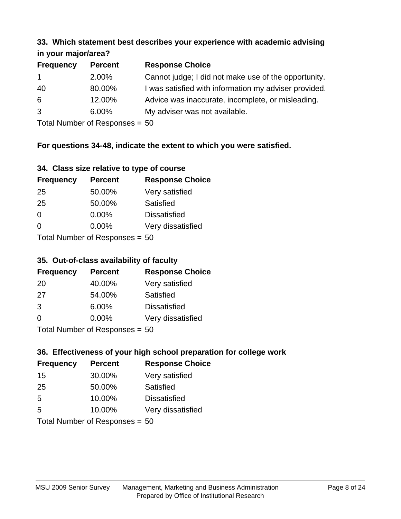#### **33. Which statement best describes your experience with academic advising in your major/area?**

| $\cdots$ your mapproved. |                |                                                       |
|--------------------------|----------------|-------------------------------------------------------|
| <b>Frequency</b>         | <b>Percent</b> | <b>Response Choice</b>                                |
| $\mathbf{1}$             | 2.00%          | Cannot judge; I did not make use of the opportunity.  |
| 40                       | 80.00%         | I was satisfied with information my adviser provided. |
| 6                        | 12.00%         | Advice was inaccurate, incomplete, or misleading.     |
| 3                        | 6.00%          | My adviser was not available.                         |
|                          |                |                                                       |

Total Number of Responses = 50

#### **For questions 34-48, indicate the extent to which you were satisfied.**

| 34. Class size relative to type of course |  |  |  |  |  |  |  |  |
|-------------------------------------------|--|--|--|--|--|--|--|--|
|-------------------------------------------|--|--|--|--|--|--|--|--|

| <b>Frequency</b>                 | <b>Percent</b> | <b>Response Choice</b> |  |  |
|----------------------------------|----------------|------------------------|--|--|
| -25                              | 50.00%         | Very satisfied         |  |  |
| 25                               | 50.00%         | Satisfied              |  |  |
| $\Omega$                         | $0.00\%$       | <b>Dissatisfied</b>    |  |  |
| $\Omega$                         | 0.00%          | Very dissatisfied      |  |  |
| Total Number of Responses $= 50$ |                |                        |  |  |

Total Number of Responses = 50

#### **35. Out-of-class availability of faculty**

| <b>Frequency</b>          | <b>Percent</b> | <b>Response Choice</b> |  |  |
|---------------------------|----------------|------------------------|--|--|
| 20                        | 40.00%         | Very satisfied         |  |  |
| 27                        | 54.00%         | <b>Satisfied</b>       |  |  |
| 3                         | 6.00%          | <b>Dissatisfied</b>    |  |  |
| $\Omega$                  | 0.00%          | Very dissatisfied      |  |  |
| Total Number of Desponses |                |                        |  |  |

Total Number of Responses = 50

## **36. Effectiveness of your high school preparation for college work**

| <b>Frequency</b>               | <b>Percent</b> | <b>Response Choice</b> |  |  |
|--------------------------------|----------------|------------------------|--|--|
| 15                             | 30.00%         | Very satisfied         |  |  |
| 25                             | 50.00%         | Satisfied              |  |  |
| 5                              | 10.00%         | <b>Dissatisfied</b>    |  |  |
| 5                              | 10.00%         | Very dissatisfied      |  |  |
| Total Number of Responses = 50 |                |                        |  |  |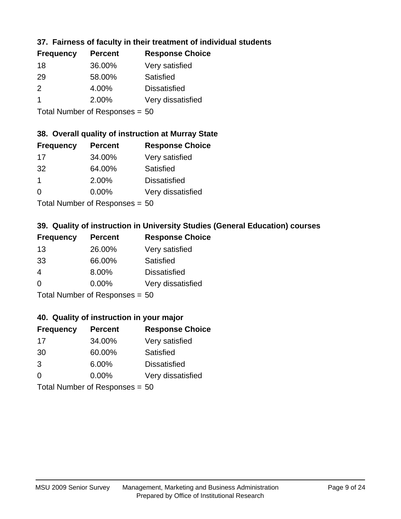## **37. Fairness of faculty in their treatment of individual students**

| <b>Frequency</b> | <b>Percent</b> | <b>Response Choice</b> |
|------------------|----------------|------------------------|
| 18               | 36.00%         | Very satisfied         |
| 29               | 58.00%         | Satisfied              |
| $\mathcal{P}$    | 4.00%          | <b>Dissatisfied</b>    |
|                  | 2.00%          | Very dissatisfied      |
|                  |                |                        |

Total Number of Responses = 50

#### **38. Overall quality of instruction at Murray State**

| <b>Frequency</b> | <b>Percent</b>            | <b>Response Choice</b> |
|------------------|---------------------------|------------------------|
| 17               | 34.00%                    | Very satisfied         |
| 32               | 64.00%                    | Satisfied              |
| $\mathbf 1$      | 2.00%                     | <b>Dissatisfied</b>    |
| $\Omega$         | 0.00%                     | Very dissatisfied      |
|                  | Total Number of Desponses |                        |

Total Number of Responses = 50

#### **39. Quality of instruction in University Studies (General Education) courses**

| <b>Frequency</b> | <b>Percent</b>                         | <b>Response Choice</b> |
|------------------|----------------------------------------|------------------------|
| 13               | 26.00%                                 | Very satisfied         |
| 33               | 66.00%                                 | Satisfied              |
| $\overline{4}$   | 8.00%                                  | <b>Dissatisfied</b>    |
| $\Omega$         | 0.00%                                  | Very dissatisfied      |
|                  | $Total Number of Denonce -\frac{1}{2}$ |                        |

 $T$  Total Number of Responses = 50

#### **40. Quality of instruction in your major**

| <b>Frequency</b>               | <b>Percent</b> | <b>Response Choice</b> |
|--------------------------------|----------------|------------------------|
| 17                             | 34.00%         | Very satisfied         |
| 30                             | 60.00%         | Satisfied              |
| 3                              | 6.00%          | <b>Dissatisfied</b>    |
| $\Omega$                       | $0.00\%$       | Very dissatisfied      |
| Total Number of Responses = 50 |                |                        |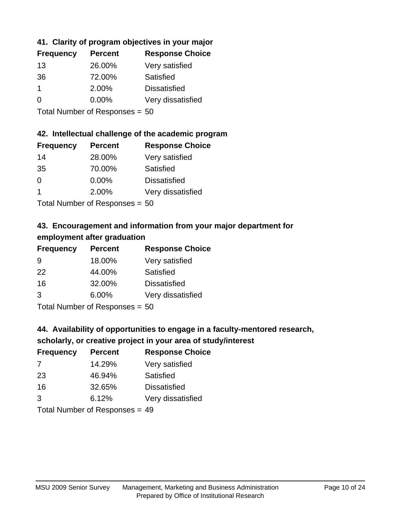## **41. Clarity of program objectives in your major**

| <b>Frequency</b> | <b>Percent</b> | <b>Response Choice</b> |
|------------------|----------------|------------------------|
| 13               | 26.00%         | Very satisfied         |
| 36               | 72.00%         | Satisfied              |
|                  | 2.00%          | <b>Dissatisfied</b>    |
| ∩                | $0.00\%$       | Very dissatisfied      |
|                  |                |                        |

Total Number of Responses = 50

#### **42. Intellectual challenge of the academic program**

| <b>Frequency</b> | <b>Percent</b> | <b>Response Choice</b> |
|------------------|----------------|------------------------|
| 14               | 28.00%         | Very satisfied         |
| 35               | 70.00%         | Satisfied              |
| $\Omega$         | 0.00%          | <b>Dissatisfied</b>    |
|                  | 2.00%          | Very dissatisfied      |
|                  |                |                        |

Total Number of Responses = 50

## **43. Encouragement and information from your major department for employment after graduation**

| <b>Frequency</b> | <b>Percent</b>               | <b>Response Choice</b> |
|------------------|------------------------------|------------------------|
| 9                | 18.00%                       | Very satisfied         |
| 22               | 44.00%                       | Satisfied              |
| 16               | 32.00%                       | <b>Dissatisfied</b>    |
| 3                | 6.00%                        | Very dissatisfied      |
|                  | $T$ and Number of Decomposed |                        |

Total Number of Responses = 50

## **44. Availability of opportunities to engage in a faculty-mentored research,**

## **scholarly, or creative project in your area of study/interest**

| <b>Frequency</b> | <b>Percent</b> | <b>Response Choice</b> |
|------------------|----------------|------------------------|
| 7                | 14.29%         | Very satisfied         |
| 23               | 46.94%         | Satisfied              |
| 16               | 32.65%         | <b>Dissatisfied</b>    |
| 3                | 6.12%          | Very dissatisfied      |
|                  |                |                        |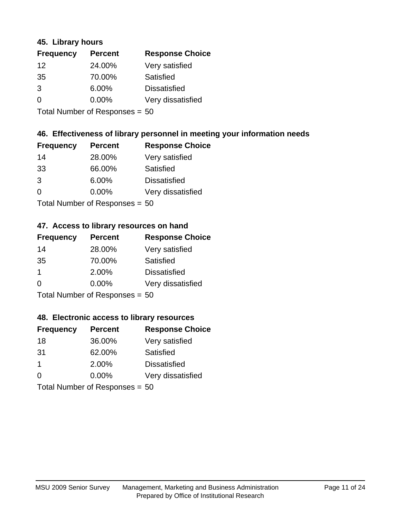#### **45. Library hours**

| <b>Frequency</b> | <b>Percent</b> | <b>Response Choice</b> |
|------------------|----------------|------------------------|
| 12               | 24.00%         | Very satisfied         |
| 35               | 70.00%         | Satisfied              |
| 3                | 6.00%          | <b>Dissatisfied</b>    |
| 0                | 0.00%          | Very dissatisfied      |
|                  |                |                        |

Total Number of Responses = 50

## **46. Effectiveness of library personnel in meeting your information needs**

| <b>Frequency</b> | <b>Percent</b>                                                                                                                   | <b>Response Choice</b> |
|------------------|----------------------------------------------------------------------------------------------------------------------------------|------------------------|
| 14               | 28.00%                                                                                                                           | Very satisfied         |
| 33               | 66.00%                                                                                                                           | Satisfied              |
| 3                | 6.00%                                                                                                                            | <b>Dissatisfied</b>    |
| $\Omega$         | 0.00%                                                                                                                            | Very dissatisfied      |
|                  | $\tau$ . $\tau$ . In the set of $\tau$ , $\tau$ , $\tau$ , $\tau$ , $\tau$ , $\tau$ , $\tau$ , $\tau$ , $\tau$ , $\tau$ , $\tau$ |                        |

Total Number of Responses = 50

#### **47. Access to library resources on hand**

| <b>Frequency</b>               | <b>Percent</b> | <b>Response Choice</b> |
|--------------------------------|----------------|------------------------|
| 14                             | 28.00%         | Very satisfied         |
| 35                             | 70.00%         | Satisfied              |
| $\mathbf 1$                    | 2.00%          | <b>Dissatisfied</b>    |
| $\Omega$                       | $0.00\%$       | Very dissatisfied      |
| Total Number of Responses = 50 |                |                        |

## **48. Electronic access to library resources**

| <b>Frequency</b> | <b>Percent</b>                 | <b>Response Choice</b> |
|------------------|--------------------------------|------------------------|
| 18               | 36.00%                         | Very satisfied         |
| 31               | 62.00%                         | Satisfied              |
| $\mathbf 1$      | 2.00%                          | <b>Dissatisfied</b>    |
| $\Omega$         | 0.00%                          | Very dissatisfied      |
|                  | Total Number of Responses = 50 |                        |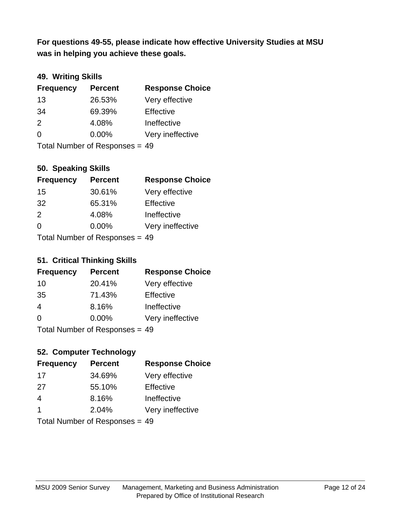**was in helping you achieve these goals. For questions 49-55, please indicate how effective University Studies at MSU** 

#### **49. Writing Skills**

| <b>Frequency</b>               | <b>Percent</b> | <b>Response Choice</b> |
|--------------------------------|----------------|------------------------|
| 13                             | 26.53%         | Very effective         |
| 34                             | 69.39%         | Effective              |
| 2                              | 4.08%          | Ineffective            |
| $\Omega$                       | $0.00\%$       | Very ineffective       |
| Total Number of Responses = 49 |                |                        |

**50. Speaking Skills**

| <b>Frequency</b>                 | <b>Percent</b> | <b>Response Choice</b> |
|----------------------------------|----------------|------------------------|
| 15                               | 30.61%         | Very effective         |
| -32                              | 65.31%         | Effective              |
| $\mathcal{P}$                    | 4.08%          | Ineffective            |
| $\Omega$                         | 0.00%          | Very ineffective       |
| $Total Number of Doepopose = 40$ |                |                        |

Total Number of Responses = 49

#### **51. Critical Thinking Skills**

| <b>Frequency</b> | <b>Percent</b>               | <b>Response Choice</b> |
|------------------|------------------------------|------------------------|
| 10               | 20.41%                       | Very effective         |
| 35               | 71.43%                       | Effective              |
| $\overline{4}$   | 8.16%                        | Ineffective            |
| $\Omega$         | 0.00%                        | Very ineffective       |
|                  | Total Number of Deepensee 40 |                        |

Total Number of Responses = 49

## **52. Computer Technology**

| <b>Frequency</b> | <b>Percent</b>                  | <b>Response Choice</b> |
|------------------|---------------------------------|------------------------|
| -17              | 34.69%                          | Very effective         |
| 27               | 55.10%                          | Effective              |
| 4                | 8.16%                           | Ineffective            |
| -1               | 2.04%                           | Very ineffective       |
|                  | Total Number of Poenonces $-10$ |                        |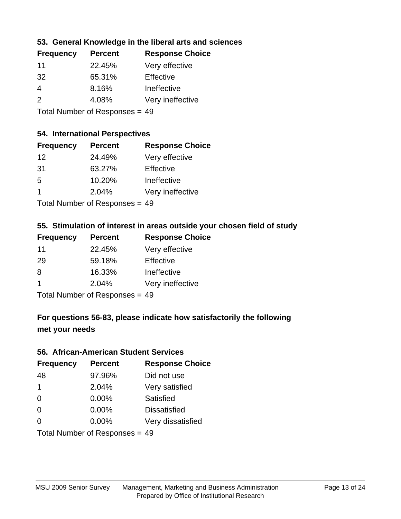#### **53. General Knowledge in the liberal arts and sciences**

| <b>Frequency</b> | <b>Percent</b> | <b>Response Choice</b> |
|------------------|----------------|------------------------|
| 11               | 22.45%         | Very effective         |
| 32               | 65.31%         | Effective              |
| 4                | 8.16%          | Ineffective            |
| $\mathcal{P}$    | 4.08%          | Very ineffective       |
|                  |                |                        |

Total Number of Responses = 49

#### **54. International Perspectives**

| <b>Frequency</b> | <b>Percent</b>            | <b>Response Choice</b> |
|------------------|---------------------------|------------------------|
| 12               | 24.49%                    | Very effective         |
| 31               | 63.27%                    | Effective              |
| -5               | 10.20%                    | Ineffective            |
| 1                | 2.04%                     | Very ineffective       |
|                  | Tatal Manulau af Dannauga |                        |

Total Number of Responses = 49

#### **55. Stimulation of interest in areas outside your chosen field of study**

| <b>Frequency</b> | <b>Percent</b>                    | <b>Response Choice</b> |
|------------------|-----------------------------------|------------------------|
| 11               | 22.45%                            | Very effective         |
| 29               | 59.18%                            | Effective              |
| 8                | 16.33%                            | Ineffective            |
| -1               | 2.04%                             | Very ineffective       |
|                  | $Total Number of DoEROR 202 - 40$ |                        |

Total Number of Responses = 49

## **For questions 56-83, please indicate how satisfactorily the following met your needs**

#### **56. African-American Student Services**

| <b>Frequency</b>               | <b>Percent</b> | <b>Response Choice</b> |
|--------------------------------|----------------|------------------------|
| 48                             | 97.96%         | Did not use            |
| $\blacktriangleleft$           | 2.04%          | Very satisfied         |
| 0                              | 0.00%          | Satisfied              |
| $\Omega$                       | 0.00%          | <b>Dissatisfied</b>    |
| $\Omega$                       | $0.00\%$       | Very dissatisfied      |
| Total Number of Responses = 49 |                |                        |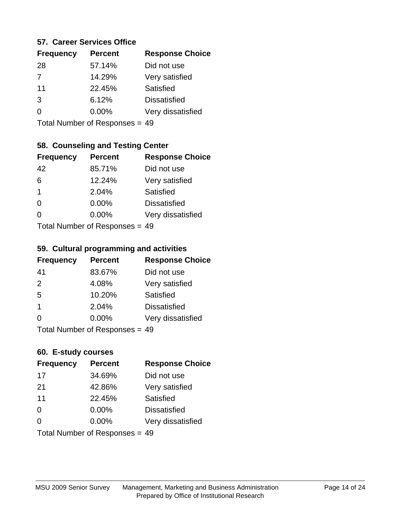#### **57. Career Services Office**

| <b>Frequency</b> | <b>Percent</b> | <b>Response Choice</b> |
|------------------|----------------|------------------------|
| 28               | 57.14%         | Did not use            |
| $\overline{7}$   | 14.29%         | Very satisfied         |
| 11               | 22.45%         | Satisfied              |
| 3                | 6.12%          | <b>Dissatisfied</b>    |
|                  | $0.00\%$       | Very dissatisfied      |
|                  |                |                        |

Total Number of Responses = 49

## **58. Counseling and Testing Center**

| <b>Frequency</b> | <b>Percent</b>               | <b>Response Choice</b> |
|------------------|------------------------------|------------------------|
| 42               | 85.71%                       | Did not use            |
| 6                | 12.24%                       | Very satisfied         |
| $\mathbf{1}$     | 2.04%                        | <b>Satisfied</b>       |
| $\Omega$         | 0.00%                        | <b>Dissatisfied</b>    |
| ∩                | 0.00%                        | Very dissatisfied      |
|                  | Total Number of Deepensee 40 |                        |

Total Number of Responses = 49

#### **59. Cultural programming and activities**

| <b>Frequency</b>               | <b>Percent</b> | <b>Response Choice</b> |
|--------------------------------|----------------|------------------------|
| 41                             | 83.67%         | Did not use            |
| 2                              | 4.08%          | Very satisfied         |
| 5                              | 10.20%         | Satisfied              |
| -1                             | 2.04%          | <b>Dissatisfied</b>    |
| $\Omega$                       | $0.00\%$       | Very dissatisfied      |
| Total Number of Responses = 49 |                |                        |

#### **60. E-study courses**

| <b>Frequency</b>               | <b>Percent</b> | <b>Response Choice</b> |
|--------------------------------|----------------|------------------------|
| 17                             | 34.69%         | Did not use            |
| 21                             | 42.86%         | Very satisfied         |
| 11                             | 22.45%         | Satisfied              |
| 0                              | $0.00\%$       | <b>Dissatisfied</b>    |
| $\Omega$                       | 0.00%          | Very dissatisfied      |
| Total Number of Responses = 49 |                |                        |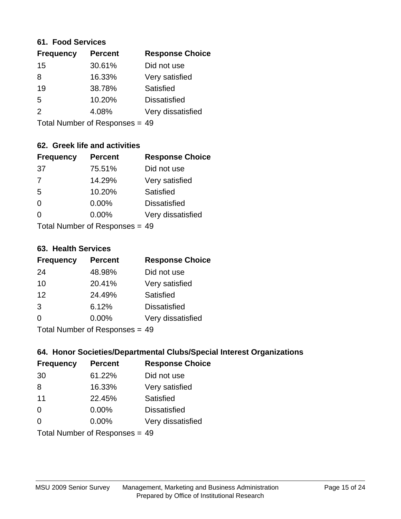#### **61. Food Services**

| <b>Frequency</b> | <b>Percent</b> | <b>Response Choice</b> |
|------------------|----------------|------------------------|
| 15               | 30.61%         | Did not use            |
| 8                | 16.33%         | Very satisfied         |
| 19               | 38.78%         | Satisfied              |
| 5                | 10.20%         | <b>Dissatisfied</b>    |
| $\mathcal{P}$    | 4.08%          | Very dissatisfied      |
|                  |                |                        |

Total Number of Responses = 49

## **62. Greek life and activities**

| <b>Frequency</b> | <b>Percent</b>                 | <b>Response Choice</b> |
|------------------|--------------------------------|------------------------|
| 37               | 75.51%                         | Did not use            |
| $\overline{7}$   | 14.29%                         | Very satisfied         |
| 5                | 10.20%                         | Satisfied              |
| $\Omega$         | 0.00%                          | <b>Dissatisfied</b>    |
| 0                | $0.00\%$                       | Very dissatisfied      |
|                  | Total Number of Responses = 49 |                        |

**63. Health Services**

| <b>Frequency</b> | <b>Percent</b> | <b>Response Choice</b> |
|------------------|----------------|------------------------|
| 24               | 48.98%         | Did not use            |
| 10               | 20.41%         | Very satisfied         |
| 12               | 24.49%         | Satisfied              |
| 3                | 6.12%          | <b>Dissatisfied</b>    |
| $\Omega$         | $0.00\%$       | Very dissatisfied      |
|                  |                |                        |

Total Number of Responses = 49

#### **64. Honor Societies/Departmental Clubs/Special Interest Organizations**

| <b>Frequency</b> | <b>Percent</b>                 | <b>Response Choice</b> |
|------------------|--------------------------------|------------------------|
| 30               | 61.22%                         | Did not use            |
| 8                | 16.33%                         | Very satisfied         |
| 11               | 22.45%                         | Satisfied              |
| $\Omega$         | 0.00%                          | <b>Dissatisfied</b>    |
| $\Omega$         | 0.00%                          | Very dissatisfied      |
|                  | Total Number of Responses = 49 |                        |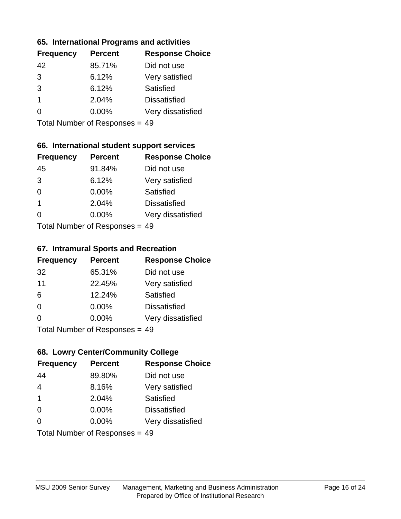#### **65. International Programs and activities**

| <b>Frequency</b> | <b>Percent</b> | <b>Response Choice</b> |
|------------------|----------------|------------------------|
| 42               | 85.71%         | Did not use            |
| 3                | 6.12%          | Very satisfied         |
| 3                | 6.12%          | Satisfied              |
| 1                | 2.04%          | <b>Dissatisfied</b>    |
|                  | $0.00\%$       | Very dissatisfied      |
|                  |                |                        |

Total Number of Responses = 49

## **66. International student support services**

| <b>Frequency</b> | <b>Percent</b>             | <b>Response Choice</b> |
|------------------|----------------------------|------------------------|
| 45               | 91.84%                     | Did not use            |
| 3                | 6.12%                      | Very satisfied         |
| $\Omega$         | 0.00%                      | <b>Satisfied</b>       |
| $\overline{1}$   | 2.04%                      | <b>Dissatisfied</b>    |
| ∩                | 0.00%                      | Very dissatisfied      |
|                  | Total Number of Deepersoon |                        |

Total Number of Responses = 49

#### **67. Intramural Sports and Recreation**

| <b>Frequency</b> | <b>Percent</b>            | <b>Response Choice</b> |
|------------------|---------------------------|------------------------|
| 32               | 65.31%                    | Did not use            |
| 11               | 22.45%                    | Very satisfied         |
| 6                | 12.24%                    | Satisfied              |
| $\Omega$         | $0.00\%$                  | <b>Dissatisfied</b>    |
| $\Omega$         | 0.00%                     | Very dissatisfied      |
|                  | Total Number of Desponses |                        |

Total Number of Responses = 49

#### **68. Lowry Center/Community College**

| <b>Frequency</b>        | <b>Percent</b>                 | <b>Response Choice</b> |
|-------------------------|--------------------------------|------------------------|
| 44                      | 89.80%                         | Did not use            |
| $\overline{4}$          | 8.16%                          | Very satisfied         |
| $\overline{\mathbf{1}}$ | 2.04%                          | Satisfied              |
| $\Omega$                | $0.00\%$                       | <b>Dissatisfied</b>    |
| $\Omega$                | $0.00\%$                       | Very dissatisfied      |
|                         | Total Number of Responses = 49 |                        |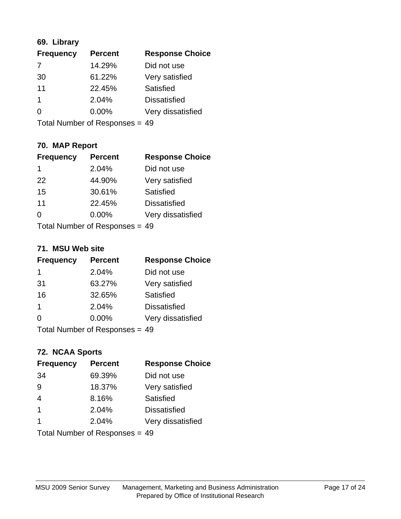## **69. Library**

| <b>Frequency</b> | <b>Percent</b> | <b>Response Choice</b> |
|------------------|----------------|------------------------|
| 7                | 14.29%         | Did not use            |
| 30               | 61.22%         | Very satisfied         |
| 11               | 22.45%         | <b>Satisfied</b>       |
| 1                | 2.04%          | <b>Dissatisfied</b>    |
| 0                | 0.00%          | Very dissatisfied      |
|                  |                |                        |

Total Number of Responses = 49

## **70. MAP Report**

| <b>Frequency</b> | <b>Percent</b>                 | <b>Response Choice</b> |
|------------------|--------------------------------|------------------------|
| 1                | 2.04%                          | Did not use            |
| 22               | 44.90%                         | Very satisfied         |
| 15               | 30.61%                         | Satisfied              |
| 11               | 22.45%                         | <b>Dissatisfied</b>    |
| 0                | 0.00%                          | Very dissatisfied      |
|                  | Total Number of Responses = 49 |                        |

#### **71. MSU Web site**

| <b>Frequency</b> | <b>Percent</b>                 | <b>Response Choice</b> |
|------------------|--------------------------------|------------------------|
| 1                | 2.04%                          | Did not use            |
| 31               | 63.27%                         | Very satisfied         |
| 16               | 32.65%                         | Satisfied              |
| 1                | 2.04%                          | <b>Dissatisfied</b>    |
| ∩                | $0.00\%$                       | Very dissatisfied      |
|                  | Total Number of Responses = 49 |                        |

## **72. NCAA Sports**

| <b>Frequency</b> | <b>Percent</b>                 | <b>Response Choice</b> |
|------------------|--------------------------------|------------------------|
| 34               | 69.39%                         | Did not use            |
| 9                | 18.37%                         | Very satisfied         |
| 4                | 8.16%                          | <b>Satisfied</b>       |
| $\overline{1}$   | 2.04%                          | <b>Dissatisfied</b>    |
| 1                | 2.04%                          | Very dissatisfied      |
|                  | Total Number of Responses = 49 |                        |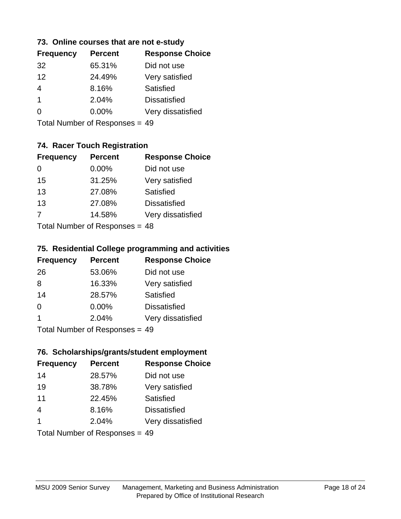#### **73. Online courses that are not e-study**

| <b>Frequency</b> | <b>Percent</b> | <b>Response Choice</b> |
|------------------|----------------|------------------------|
| 32               | 65.31%         | Did not use            |
| 12               | 24.49%         | Very satisfied         |
| 4                | 8.16%          | Satisfied              |
| 1                | 2.04%          | <b>Dissatisfied</b>    |
|                  | $0.00\%$       | Very dissatisfied      |
|                  |                |                        |

Total Number of Responses = 49

## **74. Racer Touch Registration**

| <b>Frequency</b>           | <b>Percent</b> | <b>Response Choice</b> |
|----------------------------|----------------|------------------------|
| 0                          | $0.00\%$       | Did not use            |
| 15                         | 31.25%         | Very satisfied         |
| 13                         | 27.08%         | <b>Satisfied</b>       |
| 13                         | 27.08%         | <b>Dissatisfied</b>    |
| $\overline{7}$             | 14.58%         | Very dissatisfied      |
| Tatal Number of Desperance |                |                        |

Total Number of Responses = 48

#### **75. Residential College programming and activities**

| <b>Frequency</b>                | <b>Percent</b> | <b>Response Choice</b> |
|---------------------------------|----------------|------------------------|
| 26                              | 53.06%         | Did not use            |
| 8                               | 16.33%         | Very satisfied         |
| 14                              | 28.57%         | Satisfied              |
| $\Omega$                        | 0.00%          | <b>Dissatisfied</b>    |
| -1                              | 2.04%          | Very dissatisfied      |
| Total Number of Poenonces $-10$ |                |                        |

Total Number of Responses = 49

#### **76. Scholarships/grants/student employment**

| <b>Frequency</b> | <b>Percent</b>                 | <b>Response Choice</b> |
|------------------|--------------------------------|------------------------|
| 14               | 28.57%                         | Did not use            |
| 19               | 38.78%                         | Very satisfied         |
| 11               | 22.45%                         | Satisfied              |
| $\overline{4}$   | 8.16%                          | <b>Dissatisfied</b>    |
| $\overline{1}$   | 2.04%                          | Very dissatisfied      |
|                  | Total Number of Responses = 49 |                        |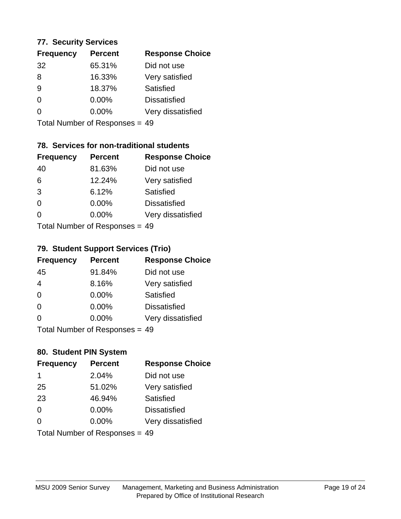#### **77. Security Services**

| <b>Frequency</b> | <b>Percent</b> | <b>Response Choice</b> |
|------------------|----------------|------------------------|
| 32               | 65.31%         | Did not use            |
| 8                | 16.33%         | Very satisfied         |
| 9                | 18.37%         | Satisfied              |
| 0                | $0.00\%$       | <b>Dissatisfied</b>    |
| ∩                | $0.00\%$       | Very dissatisfied      |
|                  |                |                        |

Total Number of Responses = 49

## **78. Services for non-traditional students**

| <b>Frequency</b>          | <b>Percent</b> | <b>Response Choice</b> |
|---------------------------|----------------|------------------------|
| 40                        | 81.63%         | Did not use            |
| 6                         | 12.24%         | Very satisfied         |
| 3                         | 6.12%          | <b>Satisfied</b>       |
| $\Omega$                  | 0.00%          | <b>Dissatisfied</b>    |
| $\Omega$                  | 0.00%          | Very dissatisfied      |
| Total Number of Desponses |                |                        |

Total Number of Responses = 49

## **79. Student Support Services (Trio)**

| <b>Frequency</b> | <b>Percent</b>           | <b>Response Choice</b> |
|------------------|--------------------------|------------------------|
| 45               | 91.84%                   | Did not use            |
| 4                | 8.16%                    | Very satisfied         |
| $\Omega$         | $0.00\%$                 | Satisfied              |
| $\Omega$         | $0.00\%$                 | <b>Dissatisfied</b>    |
| $\Omega$         | 0.00%                    | Very dissatisfied      |
|                  | Total Number of DoEROR 0 |                        |

Total Number of Responses = 49

## **80. Student PIN System**

| <b>Frequency</b> | <b>Percent</b>                 | <b>Response Choice</b> |
|------------------|--------------------------------|------------------------|
| 1                | 2.04%                          | Did not use            |
| 25               | 51.02%                         | Very satisfied         |
| 23               | 46.94%                         | Satisfied              |
| $\Omega$         | 0.00%                          | <b>Dissatisfied</b>    |
| $\Omega$         | 0.00%                          | Very dissatisfied      |
|                  | Total Number of Responses = 49 |                        |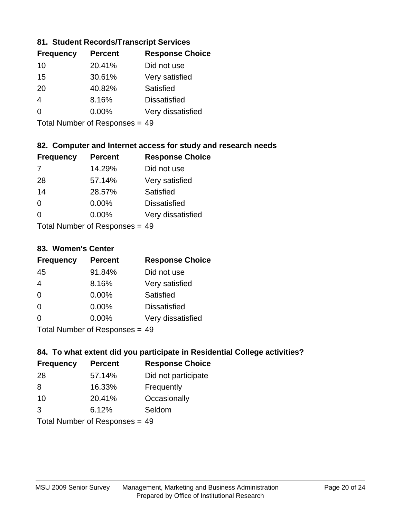#### **81. Student Records/Transcript Services**

| <b>Percent</b> | <b>Response Choice</b> |
|----------------|------------------------|
| 20.41%         | Did not use            |
| 30.61%         | Very satisfied         |
| 40.82%         | Satisfied              |
| 8.16%          | <b>Dissatisfied</b>    |
| $0.00\%$       | Very dissatisfied      |
|                |                        |

Total Number of Responses = 49

#### **82. Computer and Internet access for study and research needs**

| <b>Frequency</b> | <b>Percent</b>             | <b>Response Choice</b> |
|------------------|----------------------------|------------------------|
| -7               | 14.29%                     | Did not use            |
| 28               | 57.14%                     | Very satisfied         |
| 14               | 28.57%                     | Satisfied              |
| $\Omega$         | 0.00%                      | <b>Dissatisfied</b>    |
| $\Omega$         | 0.00%                      | Very dissatisfied      |
|                  | Total Number of Desperance |                        |

Total Number of Responses = 49

#### **83. Women's Center**

| <b>Frequency</b> | <b>Percent</b>             | <b>Response Choice</b> |
|------------------|----------------------------|------------------------|
| 45               | 91.84%                     | Did not use            |
| $\overline{4}$   | 8.16%                      | Very satisfied         |
| $\Omega$         | $0.00\%$                   | Satisfied              |
| $\Omega$         | 0.00%                      | <b>Dissatisfied</b>    |
| $\Omega$         | 0.00%                      | Very dissatisfied      |
|                  | Total Number of Deepersoon |                        |

Total Number of Responses = 49

#### **84. To what extent did you participate in Residential College activities?**

| <b>Frequency</b> | <b>Percent</b> | <b>Response Choice</b> |
|------------------|----------------|------------------------|
| 28               | 57.14%         | Did not participate    |
| 8                | 16.33%         | Frequently             |
| 10               | 20.41%         | Occasionally           |
| 3                | 6.12%          | Seldom                 |
|                  |                |                        |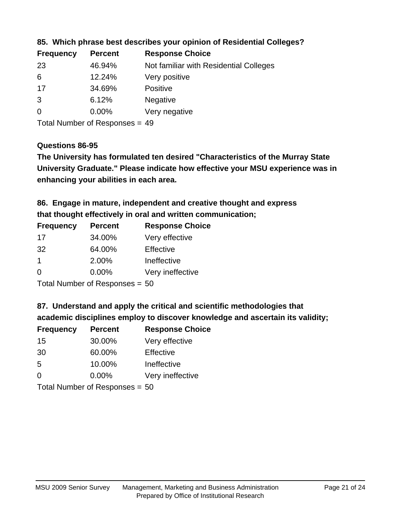| <b>Frequency</b> | <b>Percent</b> | <b>Response Choice</b>                 |
|------------------|----------------|----------------------------------------|
| 23               | 46.94%         | Not familiar with Residential Colleges |
| 6                | 12.24%         | Very positive                          |
| 17               | 34.69%         | Positive                               |
| 3                | 6.12%          | <b>Negative</b>                        |
| $\overline{0}$   | 0.00%          | Very negative                          |
|                  |                |                                        |

**85. Which phrase best describes your opinion of Residential Colleges?**

Total Number of Responses = 49

#### **Questions 86-95**

**University Graduate." Please indicate how effective your MSU experience was in The University has formulated ten desired "Characteristics of the Murray State enhancing your abilities in each area.**

**86. Engage in mature, independent and creative thought and express that thought effectively in oral and written communication;**

| <b>Frequency</b> | <b>Percent</b> | <b>Response Choice</b> |
|------------------|----------------|------------------------|
| 17               | 34.00%         | Very effective         |
| 32               | 64.00%         | Effective              |
|                  | 2.00%          | Ineffective            |
| $\Omega$         | $0.00\%$       | Very ineffective       |
|                  |                |                        |

Total Number of Responses = 50

**87. Understand and apply the critical and scientific methodologies that** 

**academic disciplines employ to discover knowledge and ascertain its validity;**

| <b>Frequency</b>           | <b>Percent</b> | <b>Response Choice</b> |
|----------------------------|----------------|------------------------|
| 15                         | 30.00%         | Very effective         |
| 30                         | 60.00%         | Effective              |
| 5                          | 10.00%         | Ineffective            |
| $\Omega$                   | 0.00%          | Very ineffective       |
| Tatal Number of Desperance |                |                        |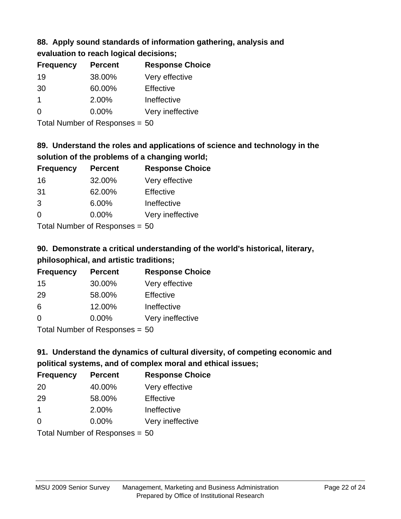# **88. Apply sound standards of information gathering, analysis and**

**evaluation to reach logical decisions;**

| <b>Frequency</b> | <b>Percent</b> | <b>Response Choice</b> |
|------------------|----------------|------------------------|
| 19               | 38.00%         | Very effective         |
| 30               | 60.00%         | Effective              |
| 1                | 2.00%          | Ineffective            |
| $\Omega$         | $0.00\%$       | Very ineffective       |
|                  |                |                        |

Total Number of Responses = 50

## **89. Understand the roles and applications of science and technology in the solution of the problems of a changing world;**

| <b>Frequency</b> | <b>Percent</b> | <b>Response Choice</b> |
|------------------|----------------|------------------------|
| 16               | 32.00%         | Very effective         |
| 31               | 62.00%         | Effective              |
| 3                | 6.00%          | Ineffective            |
| $\Omega$         | 0.00%          | Very ineffective       |
|                  |                |                        |

Total Number of Responses = 50

# **90. Demonstrate a critical understanding of the world's historical, literary, philosophical, and artistic traditions;**

| <b>Frequency</b> | <b>Percent</b> | <b>Response Choice</b> |
|------------------|----------------|------------------------|
| 15               | 30.00%         | Very effective         |
| 29               | 58.00%         | Effective              |
| 6                | 12.00%         | Ineffective            |
| $\Omega$         | 0.00%          | Very ineffective       |
|                  |                |                        |

Total Number of Responses = 50

# **91. Understand the dynamics of cultural diversity, of competing economic and political systems, and of complex moral and ethical issues;**

| <b>Frequency</b> | <b>Percent</b>                 | <b>Response Choice</b> |
|------------------|--------------------------------|------------------------|
| 20               | 40.00%                         | Very effective         |
| 29               | 58.00%                         | Effective              |
| 1                | 2.00%                          | Ineffective            |
| $\Omega$         | $0.00\%$                       | Very ineffective       |
|                  | Total Number of Responses = 50 |                        |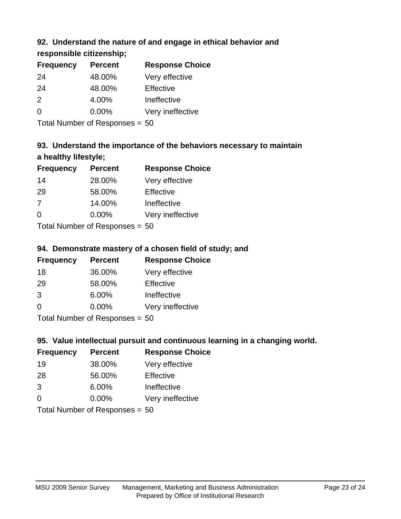## **92. Understand the nature of and engage in ethical behavior and**

**responsible citizenship;**

| <b>Frequency</b> | <b>Percent</b> | <b>Response Choice</b> |
|------------------|----------------|------------------------|
| 24               | 48.00%         | Very effective         |
| 24               | 48.00%         | Effective              |
| $\mathcal{P}$    | 4.00%          | Ineffective            |
| $\Omega$         | $0.00\%$       | Very ineffective       |
|                  |                |                        |

Total Number of Responses = 50

# **93. Understand the importance of the behaviors necessary to maintain a healthy lifestyle;**

| <b>Frequency</b> | <b>Percent</b>             | <b>Response Choice</b> |
|------------------|----------------------------|------------------------|
| 14               | 28.00%                     | Very effective         |
| 29               | 58.00%                     | Effective              |
| 7                | 14.00%                     | Ineffective            |
| $\Omega$         | 0.00%                      | Very ineffective       |
|                  | Total Number of Desperance |                        |

Total Number of Responses = 50

## **94. Demonstrate mastery of a chosen field of study; and**

| <b>Frequency</b> | <b>Percent</b> | <b>Response Choice</b> |
|------------------|----------------|------------------------|
| 18               | 36.00%         | Very effective         |
| 29               | 58.00%         | Effective              |
| 3                | 6.00%          | Ineffective            |
| $\Omega$         | 0.00%          | Very ineffective       |
|                  |                |                        |

Total Number of Responses = 50

## **95. Value intellectual pursuit and continuous learning in a changing world.**

| <b>Frequency</b> | <b>Percent</b> | <b>Response Choice</b> |
|------------------|----------------|------------------------|
| 19               | 38.00%         | Very effective         |
| 28               | 56.00%         | Effective              |
| 3                | 6.00%          | Ineffective            |
| $\Omega$         | 0.00%          | Very ineffective       |
|                  |                |                        |